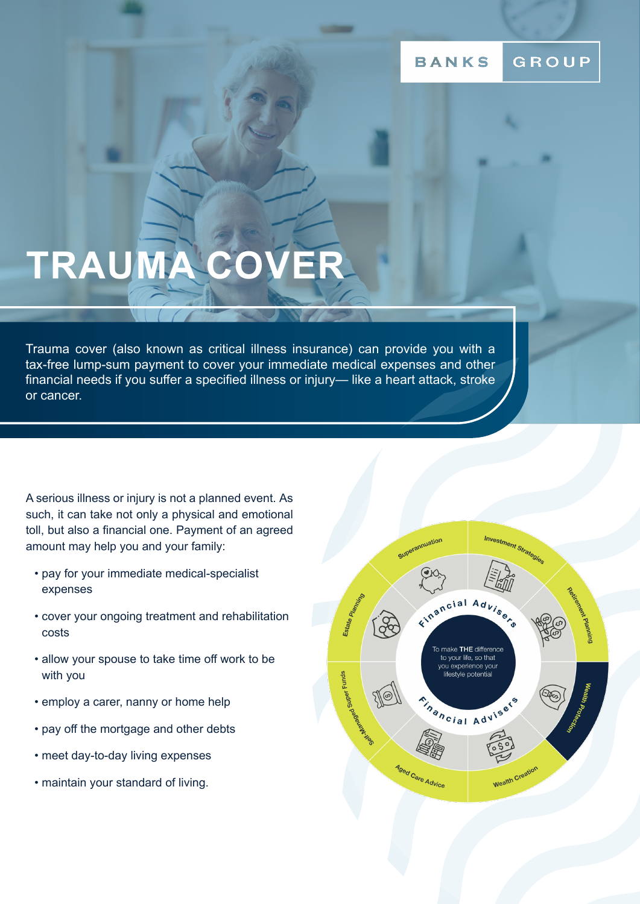#### GROUP **BANKS**

# **TRAUMA COVER**

Trauma cover (also known as critical illness insurance) can provide you with a tax-free lump-sum payment to cover your immediate medical expenses and other financial needs if you suffer a specified illness or injury— like a heart attack, stroke or cancer.

A serious illness or injury is not a planned event. As such, it can take not only a physical and emotional toll, but also a financial one. Payment of an agreed amount may help you and your family:

- pay for your immediate medical-specialist expenses
- cover your ongoing treatment and rehabilitation costs
- allow your spouse to take time off work to be with you
- employ a carer, nanny or home help
- pay off the mortgage and other debts
- meet day-to-day living expenses
- maintain your standard of living.

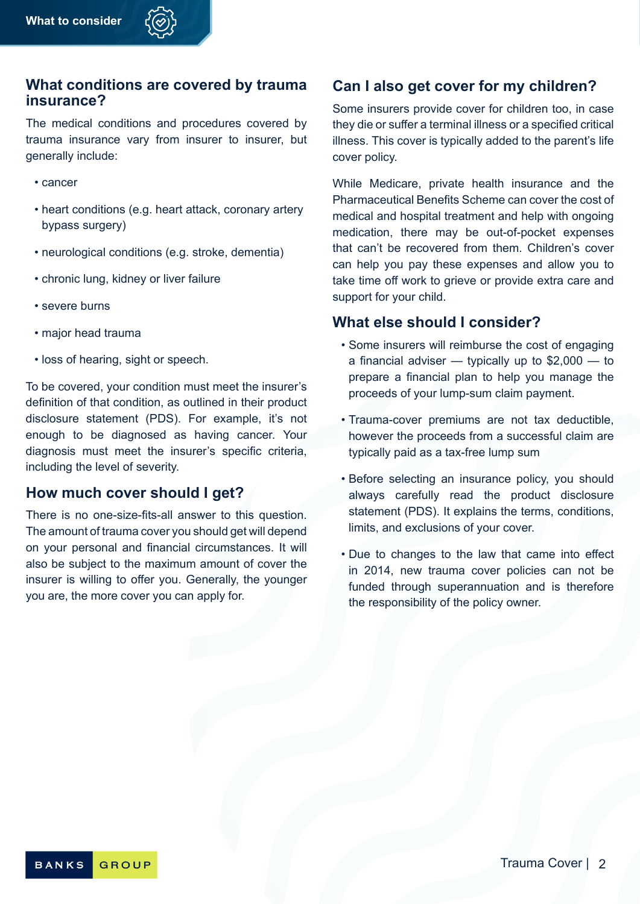#### **What conditions are covered by trauma insurance?**

The medical conditions and procedures covered by trauma insurance vary from insurer to insurer, but generally include:

- cancer
- heart conditions (e.g. heart attack, coronary artery bypass surgery)
- neurological conditions (e.g. stroke, dementia)
- chronic lung, kidney or liver failure
- severe burns
- major head trauma
- loss of hearing, sight or speech.

To be covered, your condition must meet the insurer's definition of that condition, as outlined in their product disclosure statement (PDS). For example, it's not enough to be diagnosed as having cancer. Your diagnosis must meet the insurer's specific criteria, including the level of severity.

#### **How much cover should I get?**

There is no one-size-fits-all answer to this question. The amount of trauma cover you should get will depend on your personal and financial circumstances. It will also be subject to the maximum amount of cover the insurer is willing to offer you. Generally, the younger you are, the more cover you can apply for.

### **Can I also get cover for my children?**

Some insurers provide cover for children too, in case they die or suffer a terminal illness or a specified critical illness. This cover is typically added to the parent's life cover policy.

While Medicare, private health insurance and the Pharmaceutical Benefits Scheme can cover the cost of medical and hospital treatment and help with ongoing medication, there may be out-of-pocket expenses that can't be recovered from them. Children's cover can help you pay these expenses and allow you to take time off work to grieve or provide extra care and support for your child.

#### **What else should I consider?**

- Some insurers will reimburse the cost of engaging a financial adviser — typically up to \$2,000 — to prepare a financial plan to help you manage the proceeds of your lump-sum claim payment.
- Trauma-cover premiums are not tax deductible, however the proceeds from a successful claim are typically paid as a tax-free lump sum
- Before selecting an insurance policy, you should always carefully read the product disclosure statement (PDS). It explains the terms, conditions, limits, and exclusions of your cover.
- Due to changes to the law that came into effect in 2014, new trauma cover policies can not be funded through superannuation and is therefore the responsibility of the policy owner.